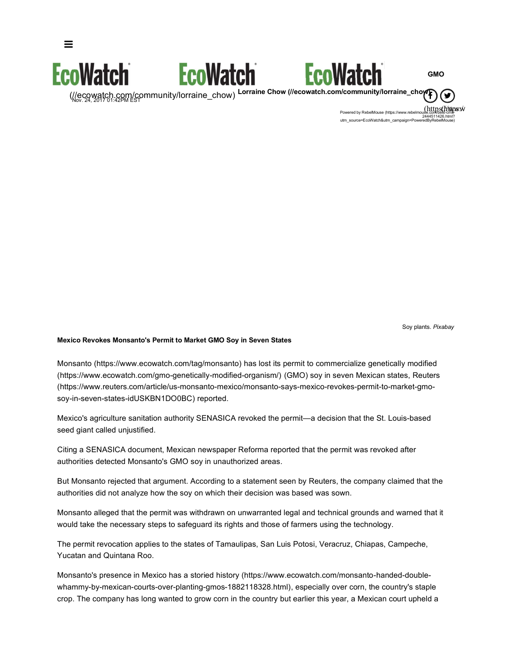

(https://www.facebook.com/EcoMatch)<br>Powered by RebelMouse (https://www.rebelmouse.com/best-cms-2444511426.html? utm\_source=EcoWatch&utm\_campaign=PoweredByRebelMouse)

Soy plants. *Pixabay*

#### **Mexico Revokes Monsanto's Permit to Market GMO Soy in Seven States**

 $\equiv$ 

Monsanto (https://www.ecowatch.com/tag/monsanto) has lost its permit to commercialize genetically modified (https://www.ecowatch.com/gmo-genetically-modified-organism/) (GMO) soy in seven Mexican states, Reuters (https://www.reuters.com/article/us-monsanto-mexico/monsanto-says-mexico-revokes-permit-to-market-gmosoy-in-seven-states-idUSKBN1DO0BC) reported.

Mexico's agriculture sanitation authority SENASICA revoked the permit—a decision that the St. Louis-based seed giant called unjustified.

Citing a SENASICA document, Mexican newspaper Reforma reported that the permit was revoked after authorities detected Monsanto's GMO soy in unauthorized areas.

But Monsanto rejected that argument. According to a statement seen by Reuters, the company claimed that the authorities did not analyze how the soy on which their decision was based was sown.

Monsanto alleged that the permit was withdrawn on unwarranted legal and technical grounds and warned that it would take the necessary steps to safeguard its rights and those of farmers using the technology.

The permit revocation applies to the states of Tamaulipas, San Luis Potosi, Veracruz, Chiapas, Campeche, Yucatan and Quintana Roo.

Monsanto's presence in Mexico has a storied history (https://www.ecowatch.com/monsanto-handed-doublewhammy-by-mexican-courts-over-planting-gmos-1882118328.html), especially over corn, the country's staple crop. The company has long wanted to grow corn in the country but earlier this year, a Mexican court upheld a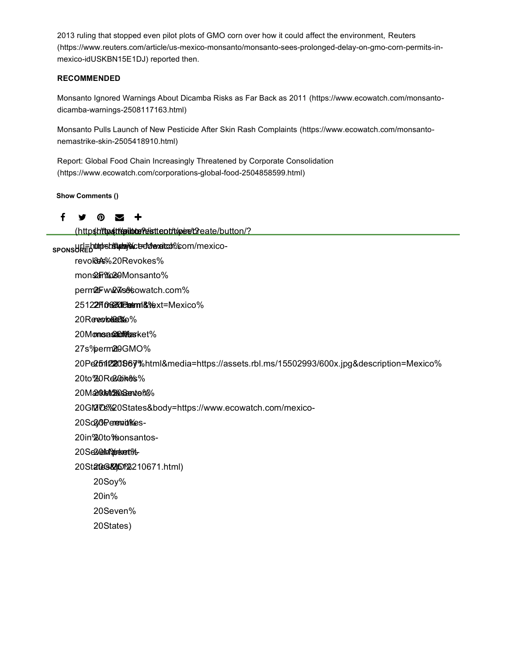2013 ruling that stopped even pilot plots of GMO corn over how it could affect the environment, Reuters (https://www.reuters.com/article/us-mexico-monsanto/monsanto-sees-prolonged-delay-on-gmo-corn-permits-inmexico-idUSKBN15E1DJ) reported then.

### **RECOMMENDED**

Monsanto Ignored Warnings About Dicamba Risks as Far Back as 2011 (https://www.ecowatch.com/monsantodicamba-warnings-2508117163.html)

Monsanto Pulls Launch of New Pesticide After Skin Rash Complaints (https://www.ecowatch.com/monsantonemastrike-skin-2505418910.html)

Report: Global Food Chain Increasingly Threatened by Corporate Consolidation (https://www.ecowatch.com/corporations-global-food-2504858599.html)

**Show Comments ()**

### ↑ ヺ の ヹ +

(httpshittps://tenible?estteotrtt/pee/t2eate/button/?

spons**ble https://www.ecouple.com**/mexico-

revok<del>es%</del>20Revokes%

mon**saFf‱8**9Monsanto%

perm2tFww2w7s<del>&</del>6owatch.com%

2512**2Fi06270121etmrlik%**ext=Mexico%

20Rerevokeee‱

20 M**onsa SamMaa**sket %

27s%perm2t0GMO%

20Pe2b1122096y%html&media=https://assets.rbl.ms/15502993/600x.jpg&description=Mexico%

20to%20Re20oi**ke/s**%

20M**arket@Kessente M**%

20GMOS%20States&body=https://www.ecowatch.com/mexico-

20So2**,017emendikes**-

20in% 20to% monsantos-

20Se2**@Market**f1%-

20St**ates&)D1%**210671.html)

20Soy%

20in%

20Seven%

20States)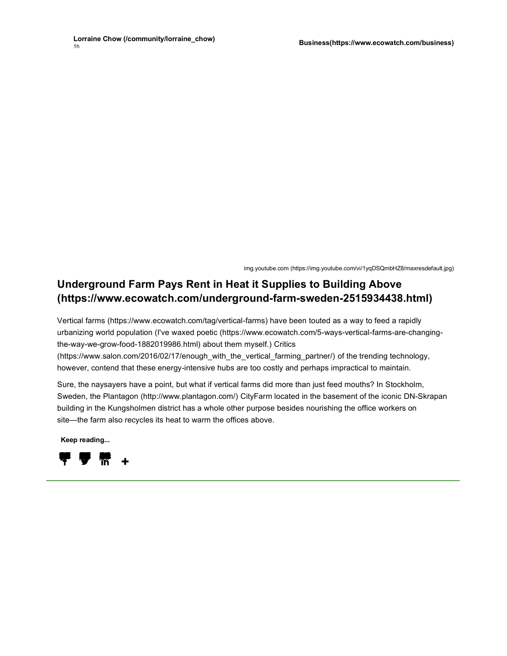img.youtube.com (https://img.youtube.com/vi/1yqDSQmbHZ8/maxresdefault.jpg)

# **Underground Farm Pays Rent in Heat it Supplies to Building Above (https://www.ecowatch.com/underground-farm-sweden-2515934438.html)**

Vertical farms (https://www.ecowatch.com/tag/vertical-farms) have been touted as a way to feed a rapidly urbanizing world population (I've waxed poetic (https://www.ecowatch.com/5-ways-vertical-farms-are-changingthe-way-we-grow-food-1882019986.html) about them myself.) Critics (https://www.salon.com/2016/02/17/enough\_with\_the\_vertical\_farming\_partner/) of the trending technology, however, contend that these energy-intensive hubs are too costly and perhaps impractical to maintain.

Sure, the naysayers have a point, but what if vertical farms did more than just feed mouths? In Stockholm, Sweden, the Plantagon (http://www.plantagon.com/) CityFarm located in the basement of the iconic DN-Skrapan building in the Kungsholmen district has a whole other purpose besides nourishing the office workers on site—the farm also recycles its heat to warm the offices above.

**Keep reading...**